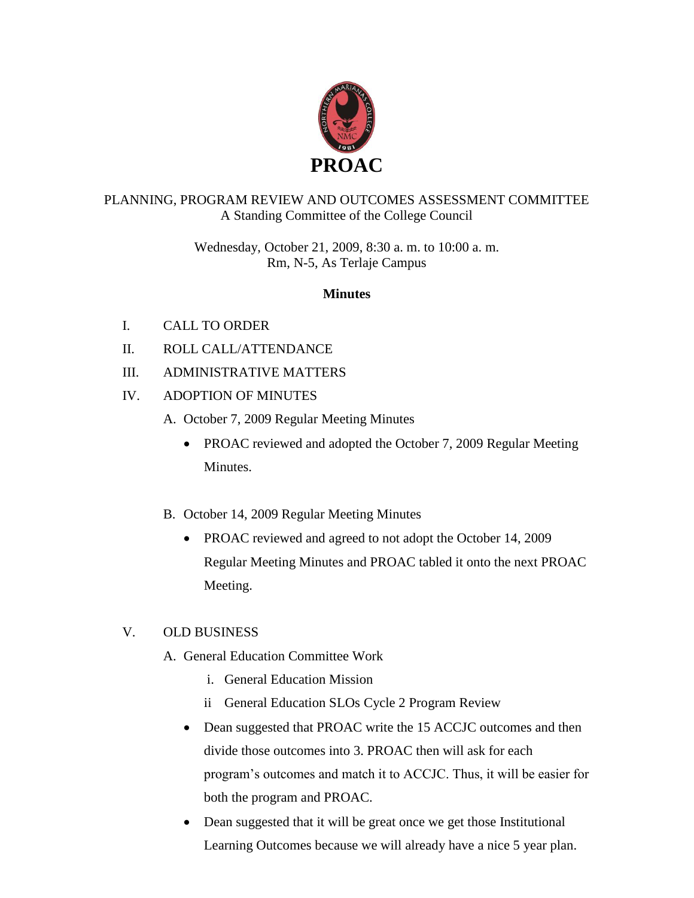

## PLANNING, PROGRAM REVIEW AND OUTCOMES ASSESSMENT COMMITTEE A Standing Committee of the College Council

Wednesday, October 21, 2009, 8:30 a. m. to 10:00 a. m. Rm, N-5, As Terlaje Campus

## **Minutes**

- I. CALL TO ORDER
- II. ROLL CALL/ATTENDANCE
- III. ADMINISTRATIVE MATTERS
- IV. ADOPTION OF MINUTES
	- A. October 7, 2009 Regular Meeting Minutes
		- PROAC reviewed and adopted the October 7, 2009 Regular Meeting Minutes.
	- B. October 14, 2009 Regular Meeting Minutes
		- PROAC reviewed and agreed to not adopt the October 14, 2009 Regular Meeting Minutes and PROAC tabled it onto the next PROAC Meeting.

## V. OLD BUSINESS

- A. General Education Committee Work
	- i. General Education Mission
	- ii General Education SLOs Cycle 2 Program Review
	- Dean suggested that PROAC write the 15 ACCJC outcomes and then divide those outcomes into 3. PROAC then will ask for each program's outcomes and match it to ACCJC. Thus, it will be easier for both the program and PROAC.
	- Dean suggested that it will be great once we get those Institutional Learning Outcomes because we will already have a nice 5 year plan.